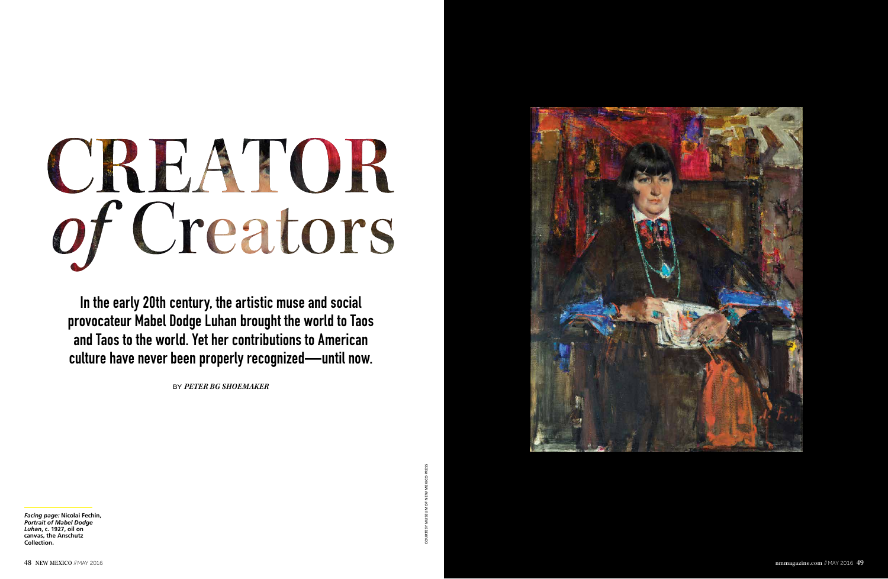## CREATOR of Creators

In the early 20th century, the artistic muse and social provocateur Mabel Dodge Luhan brought the world to Taos and Taos to the world. Yet her contributions to American culture have never been properly recognized—until now.

*Facing page:* **Nicolai Fechin,**  *Portrait of Mabel Dodge Luhan***, c. 1927, oil on canvas, the Anschutz Collection.** Facing pages Nicolai Fechin,<br>Policing Dages Nicolai Fechin,<br>Collection: ADS2-Bill Doge<br>Collection:<br>48 NEW MEXICO ∂MAY 2016





by *PETER BG SHOEMAKER*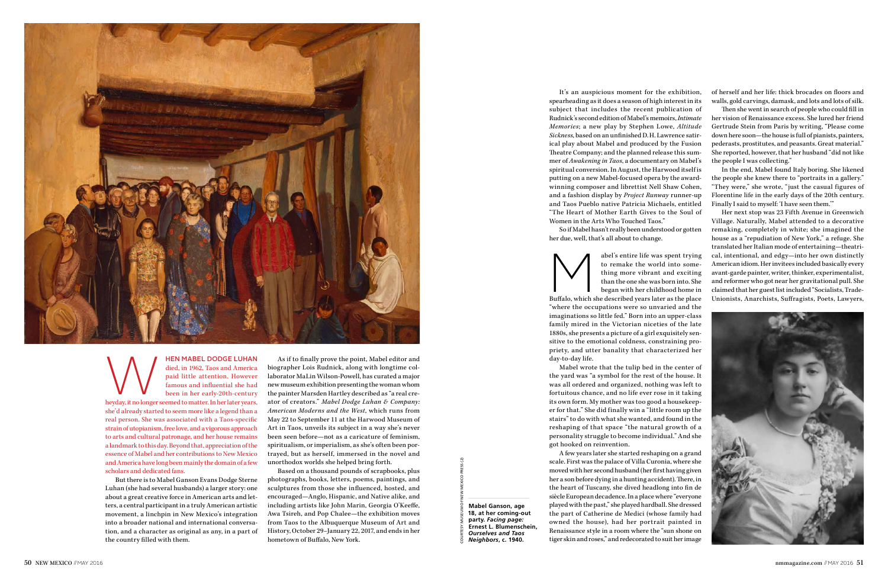

MEN MABEL DODGE LUHAN died, in 1962, Taos and America paid little attention. However famous and influential she had been in her early-20th-century heyday, it no longer seemed to matter. In her later years, died, in 1962, Taos and America paid little attention. However famous and influential she had been in her early-20th-century

she'd already started to seem more like a legend than a real person. She was associated with a Taos-specific strain of utopianism, free love, and a vigorous approach to arts and cultural patronage, and her house remains a landmark to this day. Beyond that, appreciation of the essence of Mabel and her contributions to New Mexico and America have long been mainly the domain of a few scholars and dedicated fans.

But there is to Mabel Ganson Evans Dodge Sterne Luhan (she had several husbands) a larger story: one about a great creative force in American arts and letters, a central participant in a truly American artistic movement, a linchpin in New Mexico's integration into a broader national and international conversation, and a character as original as any, in a part of the country filled with them.

As if to finally prove the point, Mabel editor and biographer Lois Rudnick, along with longtime collaborator MaLin Wilson-Powell, has curated a major new museum exhibition presenting the woman whom the painter Marsden Hartley described as "a real creator of creators." *Mabel Dodge Luhan & Company: American Moderns and the West*, which runs from May 22 to September 11 at the Harwood Museum of Art in Taos, unveils its subject in a way she's never been seen before—not as a caricature of feminism, spiritualism, or imperialism, as she's often been portrayed, but as herself, immersed in the novel and unorthodox worlds she helped bring forth.

abel's entire life was spent trying<br>to remake the world into some-<br>thing more vibrant and exciting<br>than the one she was born into. She<br>began with her childhood home in<br>star as the place to remake the world into something more vibrant and exciting than the one she was born into. She began with her childhood home in

Based on a thousand pounds of scrapbooks, plus photographs, books, letters, poems, paintings, and sculptures from those she influenced, hosted, and encouraged—Anglo, Hispanic, and Native alike, and including artists like John Marin, Georgia O'Keeffe, Awa Tsireh, and Pop Chalee—the exhibition moves from Taos to the Albuquerque Museum of Art and History, October 29–January 22, 2017, and ends in her hometown of Buffalo, New York.

It's an auspicious moment for the exhibition, spearheading as it does a season of high interest in its subject that includes the recent publication of Rudnick's second edition of Mabel's memoirs, *Intimate Memories*; a new play by Stephen Lowe, *Altitude Sickness*, based on an unfinished D.H. Lawrence satirical play about Mabel and produced by the Fusion Theatre Company; and the planned release this summer of *Awakening in Taos*, a documentary on Mabel's spiritual conversion. In August, the Harwood itself is putting on a new Mabel-focused opera by the awardwinning composer and librettist Nell Shaw Cohen, and a fashion display by *Project Runway* runner-up and Taos Pueblo native Patricia Michaels, entitled "The Heart of Mother Earth Gives to the Soul of Women in the Arts Who Touched Taos." So if Mabel hasn't really been understood or gotten

her due, well, that's all about to change.



"where the occupations were so unvaried and the imaginations so little fed." Born into an upper-class family mired in the Victorian niceties of the late 1880s, she presents a picture of a girl exquisitely sensitive to the emotional coldness, constraining propriety, and utter banality that characterized her day-to-day life.

Mabel wrote that the tulip bed in the center of the yard was "a symbol for the rest of the house. It was all ordered and organized, nothing was left to fortuitous chance, and no life ever rose in it taking its own form. My mother was too good a housekeeper for that." She did finally win a "little room up the stairs" to do with what she wanted, and found in the reshaping of that space "the natural growth of a personality struggle to become individual." And she got hooked on reinvention.

**Mabel Ganson, age 18, at her coming-out party.** *Facing page:* **Ernest L. Blumenschein,**  *Ourselves and Taos Neighbors***, c. 1940.** COURTESY MUSEUM OF NEW MEXICO PRESS (2)

A few years later she started reshaping on a grand scale. First was the palace of Villa Curonia, where she moved with her second husband (her first having given her a son before dying in a hunting accident). There, in the heart of Tuscany, she dived headlong into fin de siècle European decadence. In a place where "everyone played with the past," she played hardball. She dressed the part of Catherine de Medici (whose family had owned the house), had her portrait painted in Renaissance style in a room where the "sun shone on tiger skin and roses," and redecorated to suit her image

of herself and her life: thick brocades on floors and walls, gold carvings, damask, and lots and lots of silk.

Then she went in search of people who could fill in her vision of Renaissance excess. She lured her friend Gertrude Stein from Paris by writing, "Please come down here soon—the house is full of pianists, painters, pederasts, prostitutes, and peasants. Great material." She reported, however, that her husband "did not like the people I was collecting."

In the end, Mabel found Italy boring. She likened the people she knew there to "portraits in a gallery." "They were," she wrote, "just the casual figures of Florentine life in the early days of the 20th century. Finally I said to myself: 'I have seen them.'"

Her next stop was 23 Fifth Avenue in Greenwich Village. Naturally, Mabel attended to a decorative remaking, completely in white; she imagined the house as a "repudiation of New York," a refuge. She translated her Italian mode of entertaining—theatrical, intentional, and edgy—into her own distinctly American idiom. Her invitees included basically every avant-garde painter, writer, thinker, experimentalist, and reformer who got near her gravitational pull. She claimed that her guest list included "Socialists, Trade-Unionists, Anarchists, Suffragists, Poets, Lawyers,

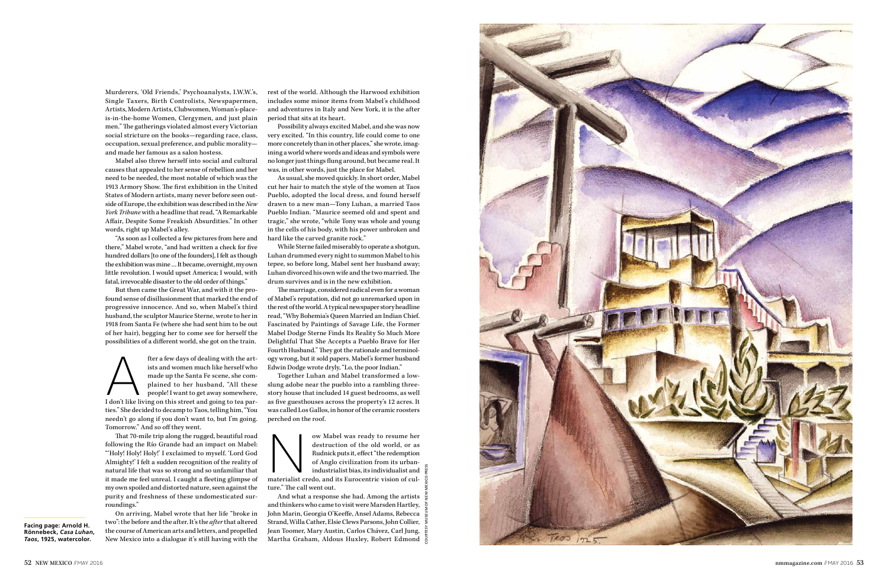**Facing page: Arnold H. Rönnebeck,** *Casa Luhan, Taos***, 1925, watercolor.**



Murderers, 'Old Friends,' Psychoanalysts, I.W.W.'s, Single Taxers, Birth Controlists, Newspapermen, Artists, Modern Artists, Clubwomen, Woman's-placeis-in-the-home Women, Clergymen, and just plain men." The gatherings violated almost every Victorian social stricture on the books—regarding race, class, occupation, sexual preference, and public morality and made her famous as a salon hostess.

Mabel also threw herself into social and cultural causes that appealed to her sense of rebellion and her need to be needed, the most notable of which was the 1913 Armory Show. The first exhibition in the United States of Modern artists, many never before seen out side of Europe, the exhibition was described in the *New York Tribune* with a headline that read, "A Remarkable Affair, Despite Some Freakish Absurdities." In other words, right up Mabel's alley.

fter a few days of dealing with the artists and women much like herself who<br>
made up the Santa Fe scene, she com-<br>
plained to her husband, "All these<br>
people! I want to get away somewhere,<br>
I don't like living on this stre ists and women much like herself who made up the Santa Fe scene, she com plained to her husband, "All these people! I want to get away somewhere, ties." She decided to decamp to Taos, telling him, "You needn't go along if you don't want to, but I'm going. Tomorrow." And so off they went.

"As soon as I collected a few pictures from here and there," Mabel wrote, "and had written a check for five hundred dollars [to one of the founders], I felt as though the exhibition was mine … It became, overnight, my own little revolution. I would upset America; I would, with fatal, irrevocable disaster to the old order of things."

But then came the Great War, and with it the pro found sense of disillusionment that marked the end of progressive innocence. And so, when Mabel's third husband, the sculptor Maurice Sterne, wrote to her in 1918 from Santa Fe (where she had sent him to be out of her hair), begging her to come see for herself the possibilities of a different world, she got on the train.

That 70-mile trip along the rugged, beautiful road following the Río Grande had an impact on Mabel: "'Holy! Holy! Holy!' I exclaimed to myself. 'Lord God Almighty!' I felt a sudden recognition of the reality of natural life that was so strong and so unfamiliar that it made me feel unreal. I caught a fleeting glimpse of my own spoiled and distorted nature, seen against the purity and freshness of these undomesticated sur roundings."

ow Mabel was ready to resume her<br>destruction of the old world, or as<br>Rudnickputs it, effect "the redemption<br>of Anglo civilization from its urban-<br>industrialist bias, its individualist and<br>interialist credo, and its Eurocen destruction of the old world, or as Rudnick puts it, effect "the redemption of Anglo civilization from its urbanindustrialist bias, its individualist and

On arriving, Mabel wrote that her life "broke in two": the before and the after. It's the *after* that altered the course of American arts and letters, and propelled New Mexico into a dialogue it's still having with the rest of the world. Although the Harwood exhibition includes some minor items from Mabel's childhood and adventures in Italy and New York, it is the after period that sits at its heart.

Possibility always excited Mabel, and she was now very excited. "In this country, life could come to one more concretely than in other places," she wrote, imag ining a world where words and ideas and symbols were no longer just things flung around, but became real. It was, in other words, just the place for Mabel.

As usual, she moved quickly. In short order, Mabel cut her hair to match the style of the women at Taos Pueblo, adopted the local dress, and found herself drawn to a new man—Tony Luhan, a married Taos Pueblo Indian. "Maurice seemed old and spent and tragic," she wrote, "while Tony was whole and young in the cells of his body, with his power unbroken and hard like the carved granite rock."

While Sterne failed miserably to operate a shotgun, Luhan drummed every night to summon Mabel to his tepee, so before long, Mabel sent her husband away; Luhan divorced his own wife and the two married. The drum survives and is in the new exhibition.

The marriage, considered radical even for a woman of Mabel's reputation, did not go unremarked upon in the rest of the world. A typical newspaper story headline read, "Why Bohemia's Queen Married an Indian Chief. Fascinated by Paintings of Savage Life, the Former Mabel Dodge Sterne Finds Its Reality So Much More Delightful That She Accepts a Pueblo Brave for Her Fourth Husband." They got the rationale and terminol ogy wrong, but it sold papers. Mabel's former husband Edwin Dodge wrote dryly, "Lo, the poor Indian."

Together Luhan and Mabel transformed a lowslung adobe near the pueblo into a rambling threestory house that included 14 guest bedrooms, as well as five guesthouses across the property's 12 acres. It was called Los Gallos, in honor of the ceramic roosters perched on the roof.

ture." The call went out.

And what a response she had. Among the artists and thinkers who came to visit were Marsden Hartley, John Marin, Georgia O'Keeffe, Ansel Adams, Rebecca Strand, Willa Cather, Elsie Clews Parsons, John Collier, Jean Toomer, Mary Austin, Carlos Chávez, Carl Jung, Martha Graham, Aldous Huxley, Robert Edmond COURTESY MUSEUM OF NEW MEXICO PRESS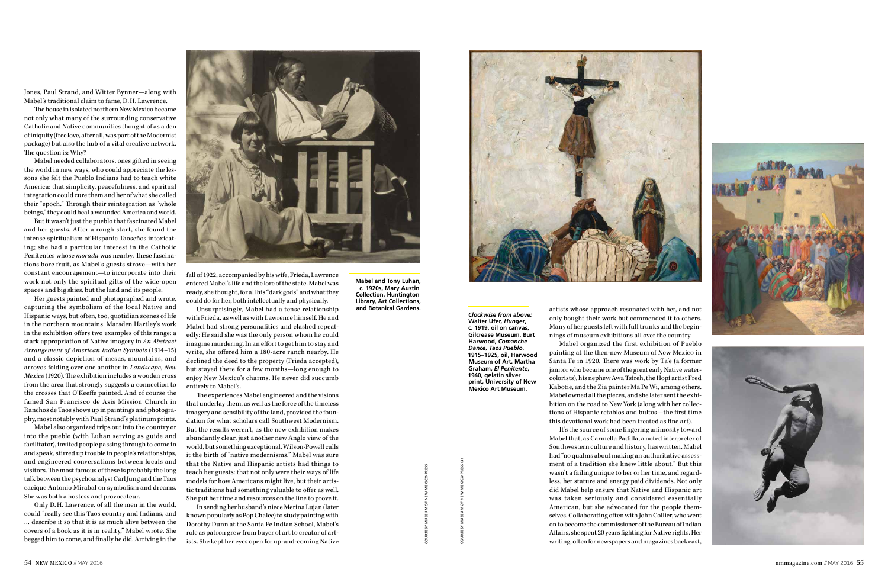**Mabel and Tony Luhan, c. 1920s, Mary Austin Collection, Huntington Library, Art Collections, and Botanical Gardens.**

*Clockwise from above:* **Walter Ufer,** *Hunger***, c. 1919, oil on canvas, Gilcrease Museum. Burt Harwood,** *Comanche Dance, Taos Pueblo***, 1915–1925, oil, Harwood Museum of Art. Martha Graham,** *El Penitente***, 1940, gelatin silver print, University of New Mexico Art Museum.**

Jones, Paul Strand, and Witter Bynner—along with Mabel's traditional claim to fame, D.H. Lawrence.

The house in isolated northern New Mexico became not only what many of the surrounding conservative Catholic and Native communities thought of as a den of iniquity (free love, after all, was part of the Modernist package) but also the hub of a vital creative network. The question is: Why?

Mabel needed collaborators, ones gifted in seeing the world in new ways, who could appreciate the lessons she felt the Pueblo Indians had to teach white America: that simplicity, peacefulness, and spiritual integration could cure them and her of what she called their "epoch." Through their reintegration as "whole beings," they could heal a wounded America and world.

But it wasn't just the pueblo that fascinated Mabel and her guests. After a rough start, she found the intense spiritualism of Hispanic Taoseños intoxicating; she had a particular interest in the Catholic Penitentes whose *morada* was nearby. These fascinations bore fruit, as Mabel's guests strove—with her constant encouragement—to incorporate into their work not only the spiritual gifts of the wide-open spaces and big skies, but the land and its people.

Her guests painted and photographed and wrote, capturing the symbolism of the local Native and Hispanic ways, but often, too, quotidian scenes of life in the northern mountains. Marsden Hartley's work in the exhibition offers two examples of this range: a stark appropriation of Native imagery in *An Abstract Arrangement of American Indian Symbols* (1914–15) and a classic depiction of mesas, mountains, and arroyos folding over one another in *Landscape, New Mexico* (1920). The exhibition includes a wooden cross from the area that strongly suggests a connection to the crosses that O'Keeffe painted. And of course the famed San Francisco de Asis Mission Church in Ranchos de Taos shows up in paintings and photography, most notably with Paul Strand's platinum prints.

Mabel also organized trips out into the country or into the pueblo (with Luhan serving as guide and facilitator), invited people passing through to come in and speak, stirred up trouble in people's relationships, and engineered conversations between locals and visitors. The most famous of these is probably the long talk between the psychoanalyst Carl Jung and the Taos cacique Antonio Mirabal on symbolism and dreams. She was both a hostess and provocateur.

Only D.H. Lawrence, of all the men in the world, could "really see this Taos country and Indians, and … describe it so that it is as much alive between the covers of a book as it is in reality," Mabel wrote. She begged him to come, and finally he did. Arriving in the fall of 1922, accompanied by his wife, Frieda, Lawrence entered Mabel's life and the lore of the state. Mabel was ready, she thought, for all his "dark gods" and what they could do for her, both intellectually and physically.

Unsurprisingly, Mabel had a tense relationship with Frieda, as well as with Lawrence himself. He and Mabel had strong personalities and clashed repeatedly: He said she was the only person whom he could imagine murdering. In an effort to get him to stay and write, she offered him a 180-acre ranch nearby. He declined the deed to the property (Frieda accepted), but stayed there for a few months—long enough to enjoy New Mexico's charms. He never did succumb entirely to Mabel's.

The experiences Mabel engineered and the visions that underlay them, as well as the force of the timeless imagery and sensibility of the land, provided the foundation for what scholars call Southwest Modernism. But the results weren't, as the new exhibition makes abundantly clear, just another new Anglo view of the world, but something exceptional. Wilson-Powell calls it the birth of "native modernisms." Mabel was sure that the Native and Hispanic artists had things to teach her guests: that not only were their ways of life models for how Americans might live, but their artistic traditions had something valuable to offer as well. She put her time and resources on the line to prove it.

In sending her husband's niece Merina Lujan (later known popularly as Pop Chalee) to study painting with Dorothy Dunn at the Santa Fe Indian School, Mabel's role as patron grew from buyer of art to creator of artists. She kept her eyes open for up-and-coming Native



artists whose approach resonated with her, and not only bought their work but commended it to others. Many of her guests left with full trunks and the beginnings of museum exhibitions all over the country.

Mabel organized the first exhibition of Pueblo painting at the then-new Museum of New Mexico in Santa Fe in 1920. There was work by Ta'e (a former janitor who became one of the great early Native watercolorists), his nephew Awa Tsireh, the Hopi artist Fred Kabotie, and the Zia painter Ma Pe Wi, among others. Mabel owned all the pieces, and she later sent the exhibition on the road to New York (along with her collections of Hispanic retablos and bultos—the first time this devotional work had been treated as fine art).

It's the source of some lingering animosity toward Mabel that, as Carmella Padilla, a noted interpreter of Southwestern culture and history, has written, Mabel had "no qualms about making an authoritative assessment of a tradition she knew little about." But this wasn't a failing unique to her or her time, and regardless, her stature and energy paid dividends. Not only did Mabel help ensure that Native and Hispanic art was taken seriously and considered essentially American, but she advocated for the people themselves. Collaborating often with John Collier, who went on to become the commissioner of the Bureau of Indian Affairs, she spent 20 years fighting for Native rights. Her writing, often for newspapers and magazines back east,





COURTESY MUSEUM OF NEW MEXICO PRESS



COURTESY MUSEUM OF NEW MEXICO PRESS (3)